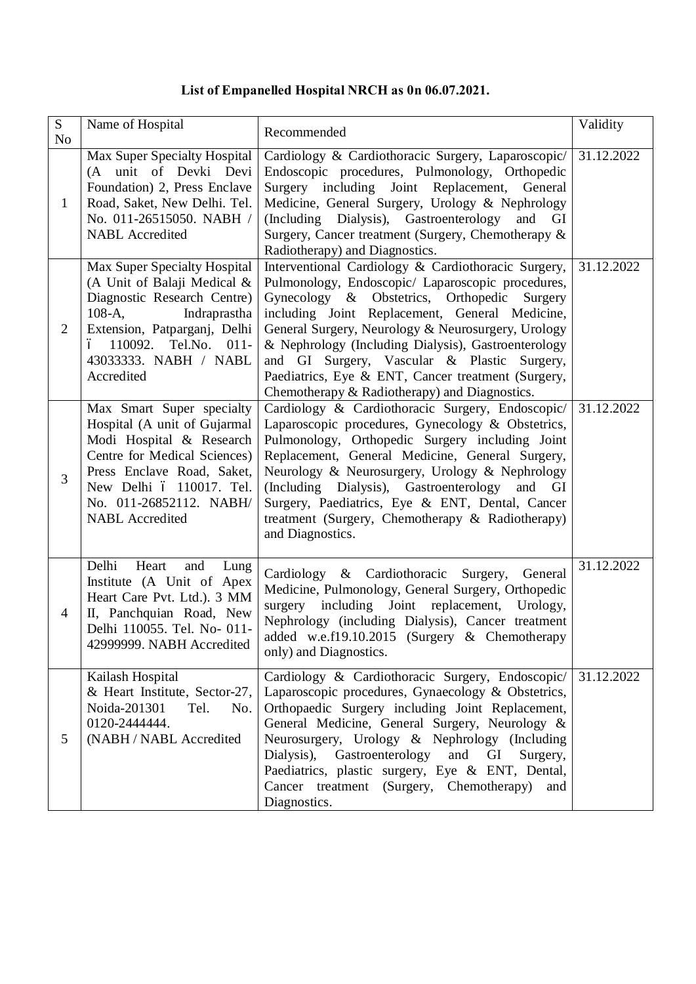# **List of Empanelled Hospital NRCH as 0n 06.07.2021.**

| S<br>N <sub>o</sub> | Name of Hospital                                                                                                                                                                                                                     | Recommended                                                                                                                                                                                                                                                                                                                                                                                                                                                                  | Validity   |
|---------------------|--------------------------------------------------------------------------------------------------------------------------------------------------------------------------------------------------------------------------------------|------------------------------------------------------------------------------------------------------------------------------------------------------------------------------------------------------------------------------------------------------------------------------------------------------------------------------------------------------------------------------------------------------------------------------------------------------------------------------|------------|
| 1                   | Max Super Specialty Hospital<br>(A unit of Devki Devi<br>Foundation) 2, Press Enclave<br>Road, Saket, New Delhi. Tel.<br>No. 011-26515050. NABH /<br><b>NABL</b> Accredited                                                          | Cardiology & Cardiothoracic Surgery, Laparoscopic/<br>Endoscopic procedures, Pulmonology, Orthopedic<br>Surgery including Joint Replacement, General<br>Medicine, General Surgery, Urology & Nephrology<br>(Including Dialysis), Gastroenterology<br>and GI<br>Surgery, Cancer treatment (Surgery, Chemotherapy &<br>Radiotherapy) and Diagnostics.                                                                                                                          | 31.12.2022 |
| $\overline{2}$      | Max Super Specialty Hospital<br>(A Unit of Balaji Medical &<br>Diagnostic Research Centre)<br>$108-A$ ,<br>Indraprastha<br>Extension, Patparganj, Delhi<br>ó 110092. Tel.No. 011-<br>43033333. NABH / NABL<br>Accredited             | Interventional Cardiology & Cardiothoracic Surgery,<br>Pulmonology, Endoscopic/ Laparoscopic procedures,<br>Gynecology & Obstetrics, Orthopedic Surgery<br>including Joint Replacement, General Medicine,<br>General Surgery, Neurology & Neurosurgery, Urology<br>& Nephrology (Including Dialysis), Gastroenterology<br>and GI Surgery, Vascular & Plastic Surgery,<br>Paediatrics, Eye & ENT, Cancer treatment (Surgery,<br>Chemotherapy & Radiotherapy) and Diagnostics. | 31.12.2022 |
| 3                   | Max Smart Super specialty<br>Hospital (A unit of Gujarmal<br>Modi Hospital & Research<br>Centre for Medical Sciences)<br>Press Enclave Road, Saket,<br>New Delhi ó 110017. Tel.<br>No. 011-26852112. NABH/<br><b>NABL</b> Accredited | Cardiology & Cardiothoracic Surgery, Endoscopic/<br>Laparoscopic procedures, Gynecology & Obstetrics,<br>Pulmonology, Orthopedic Surgery including Joint<br>Replacement, General Medicine, General Surgery,<br>Neurology & Neurosurgery, Urology & Nephrology<br>(Including Dialysis), Gastroenterology and GI<br>Surgery, Paediatrics, Eye & ENT, Dental, Cancer<br>treatment (Surgery, Chemotherapy & Radiotherapy)<br>and Diagnostics.                                    | 31.12.2022 |
| $\overline{4}$      | Delhi<br>Heart<br>and<br>Lung<br>Institute (A Unit of Apex<br>Heart Care Pvt. Ltd.). 3 MM<br>II, Panchquian Road, New<br>Delhi 110055. Tel. No- 011-<br>42999999. NABH Accredited                                                    | Cardiology & Cardiothoracic Surgery,<br>General<br>Medicine, Pulmonology, General Surgery, Orthopedic<br>surgery including Joint replacement,<br>Urology,<br>Nephrology (including Dialysis), Cancer treatment<br>added w.e.f19.10.2015 (Surgery & Chemotherapy<br>only) and Diagnostics.                                                                                                                                                                                    | 31.12.2022 |
| 5                   | Kailash Hospital<br>& Heart Institute, Sector-27,<br>Noida-201301<br>Tel.<br>No.<br>0120-2444444.<br>(NABH / NABL Accredited                                                                                                         | Cardiology & Cardiothoracic Surgery, Endoscopic/<br>Laparoscopic procedures, Gynaecology & Obstetrics,<br>Orthopaedic Surgery including Joint Replacement,<br>General Medicine, General Surgery, Neurology &<br>Neurosurgery, Urology & Nephrology (Including<br>Dialysis), Gastroenterology<br>and<br>GI<br>Surgery,<br>Paediatrics, plastic surgery, Eye & ENT, Dental,<br>Cancer treatment (Surgery, Chemotherapy)<br>and<br>Diagnostics.                                 | 31.12.2022 |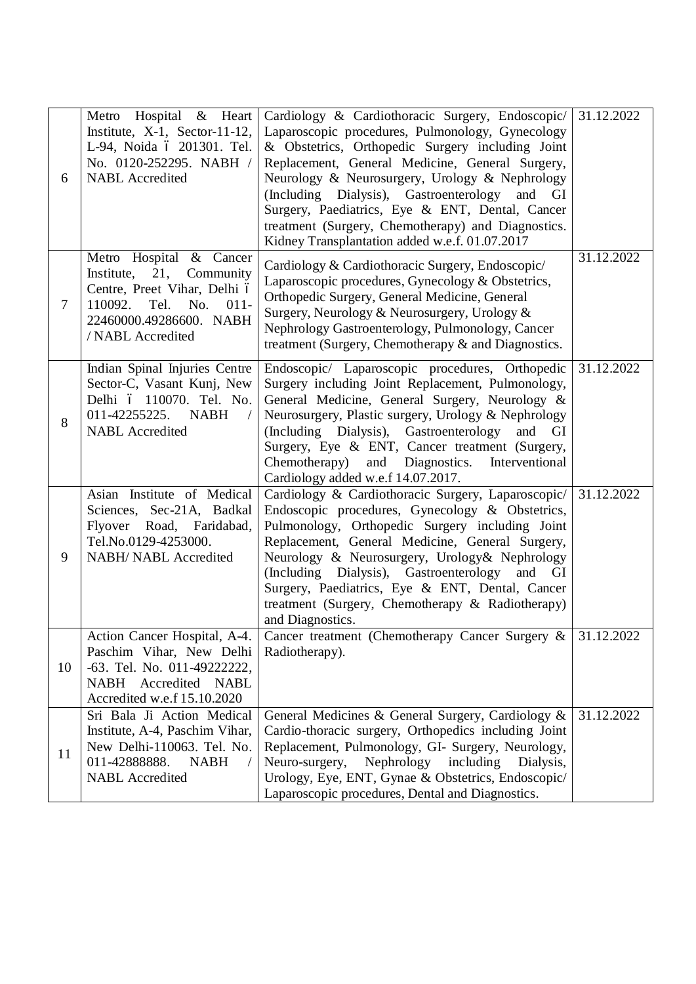| 6              | Metro Hospital & Heart<br>Institute, $X-1$ , Sector-11-12,<br>L-94, Noida ó 201301. Tel.<br>No. 0120-252295. NABH /<br><b>NABL</b> Accredited                            | Cardiology & Cardiothoracic Surgery, Endoscopic/<br>Laparoscopic procedures, Pulmonology, Gynecology<br>& Obstetrics, Orthopedic Surgery including Joint<br>Replacement, General Medicine, General Surgery,<br>Neurology & Neurosurgery, Urology & Nephrology<br>(Including Dialysis), Gastroenterology and GI<br>Surgery, Paediatrics, Eye & ENT, Dental, Cancer<br>treatment (Surgery, Chemotherapy) and Diagnostics.<br>Kidney Transplantation added w.e.f. 01.07.2017 | 31.12.2022              |
|----------------|--------------------------------------------------------------------------------------------------------------------------------------------------------------------------|---------------------------------------------------------------------------------------------------------------------------------------------------------------------------------------------------------------------------------------------------------------------------------------------------------------------------------------------------------------------------------------------------------------------------------------------------------------------------|-------------------------|
| $\overline{7}$ | Metro Hospital & Cancer<br>21,<br>Institute,<br>Community<br>Centre, Preet Vihar, Delhi ó<br>110092.<br>Tel.<br>No. 011-<br>22460000.49286600. NABH<br>/ NABL Accredited | Cardiology & Cardiothoracic Surgery, Endoscopic/<br>Laparoscopic procedures, Gynecology & Obstetrics,<br>Orthopedic Surgery, General Medicine, General<br>Surgery, Neurology & Neurosurgery, Urology &<br>Nephrology Gastroenterology, Pulmonology, Cancer<br>treatment (Surgery, Chemotherapy & and Diagnostics.                                                                                                                                                         | 31.12.2022              |
| 8              | Indian Spinal Injuries Centre<br>Sector-C, Vasant Kunj, New<br>Delhi ó 110070. Tel. No.<br>011-42255225.<br><b>NABH</b><br><b>NABL</b> Accredited                        | Endoscopic/ Laparoscopic procedures, Orthopedic<br>Surgery including Joint Replacement, Pulmonology,<br>General Medicine, General Surgery, Neurology &<br>Neurosurgery, Plastic surgery, Urology & Nephrology<br>(Including Dialysis), Gastroenterology<br>and GI<br>Surgery, Eye & ENT, Cancer treatment (Surgery,<br>Chemotherapy) and<br>Diagnostics.<br>Interventional<br>Cardiology added w.e.f 14.07.2017.                                                          | 31.12.2022              |
| 9              | Asian Institute of Medical<br>Sciences, Sec-21A, Badkal<br>Flyover Road, Faridabad,<br>Tel.No.0129-4253000.<br><b>NABH/ NABL Accredited</b>                              | Cardiology & Cardiothoracic Surgery, Laparoscopic/<br>Endoscopic procedures, Gynecology & Obstetrics,<br>Pulmonology, Orthopedic Surgery including Joint<br>Replacement, General Medicine, General Surgery,<br>Neurology & Neurosurgery, Urology& Nephrology<br>(Including Dialysis), Gastroenterology and GI<br>Surgery, Paediatrics, Eye & ENT, Dental, Cancer<br>treatment (Surgery, Chemotherapy & Radiotherapy)<br>and Diagnostics.                                  | $\overline{31.12.2022}$ |
| 10             | Action Cancer Hospital, A-4.<br>Paschim Vihar, New Delhi<br>-63. Tel. No. 011-49222222,<br>NABH Accredited NABL<br>Accredited w.e.f 15.10.2020                           | Cancer treatment (Chemotherapy Cancer Surgery &<br>Radiotherapy).                                                                                                                                                                                                                                                                                                                                                                                                         | 31.12.2022              |
| 11             | Sri Bala Ji Action Medical<br>Institute, A-4, Paschim Vihar,<br>New Delhi-110063. Tel. No.<br>011-42888888.<br><b>NABH</b><br><b>NABL</b> Accredited                     | General Medicines & General Surgery, Cardiology &<br>Cardio-thoracic surgery, Orthopedics including Joint<br>Replacement, Pulmonology, GI- Surgery, Neurology,<br>Neuro-surgery,<br>Nephrology including<br>Dialysis,<br>Urology, Eye, ENT, Gynae & Obstetrics, Endoscopic/<br>Laparoscopic procedures, Dental and Diagnostics.                                                                                                                                           | 31.12.2022              |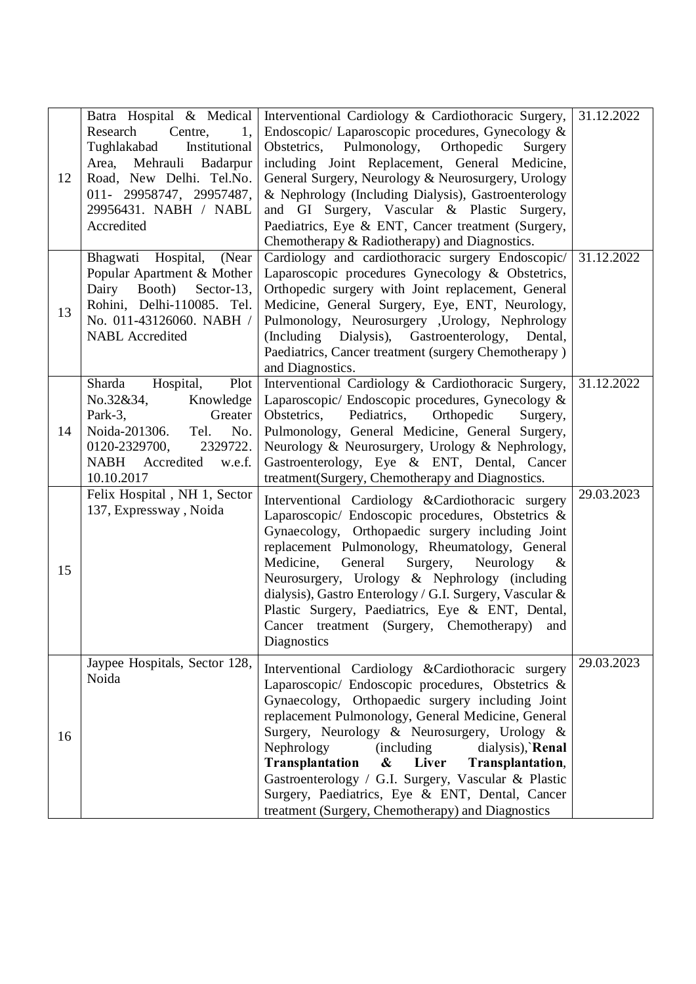| 12 | Batra Hospital & Medical<br>Research<br>Centre,<br>1,<br>Tughlakabad<br>Institutional<br>Mehrauli<br>Area,<br>Badarpur<br>Road, New Delhi. Tel.No.<br>011-29958747, 29957487,<br>29956431. NABH / NABL<br>Accredited | Interventional Cardiology & Cardiothoracic Surgery,<br>Endoscopic/ Laparoscopic procedures, Gynecology &<br>Obstetrics,<br>Pulmonology,<br>Orthopedic<br>Surgery<br>including Joint Replacement, General Medicine,<br>General Surgery, Neurology & Neurosurgery, Urology<br>& Nephrology (Including Dialysis), Gastroenterology<br>and GI Surgery, Vascular & Plastic Surgery,<br>Paediatrics, Eye & ENT, Cancer treatment (Surgery,<br>Chemotherapy & Radiotherapy) and Diagnostics.                                                                                | 31.12.2022 |
|----|----------------------------------------------------------------------------------------------------------------------------------------------------------------------------------------------------------------------|----------------------------------------------------------------------------------------------------------------------------------------------------------------------------------------------------------------------------------------------------------------------------------------------------------------------------------------------------------------------------------------------------------------------------------------------------------------------------------------------------------------------------------------------------------------------|------------|
| 13 | Bhagwati Hospital,<br>(Near<br>Popular Apartment & Mother<br>Dairy<br>Booth)<br>Sector-13,<br>Rohini, Delhi-110085. Tel.<br>No. 011-43126060. NABH /<br><b>NABL</b> Accredited                                       | Cardiology and cardiothoracic surgery Endoscopic/<br>Laparoscopic procedures Gynecology & Obstetrics,<br>Orthopedic surgery with Joint replacement, General<br>Medicine, General Surgery, Eye, ENT, Neurology,<br>Pulmonology, Neurosurgery , Urology, Nephrology<br>(Including Dialysis), Gastroenterology,<br>Dental,<br>Paediatrics, Cancer treatment (surgery Chemotherapy)<br>and Diagnostics.                                                                                                                                                                  | 31.12.2022 |
| 14 | Plot<br>Hospital,<br>Sharda<br>No.32&34,<br>Knowledge<br>Park-3,<br>Greater<br>Noida-201306.<br>Tel.<br>No.<br>0120-2329700,<br>2329722.<br>NABH Accredited<br>w.e.f.<br>10.10.2017                                  | Interventional Cardiology & Cardiothoracic Surgery,<br>Laparoscopic/ Endoscopic procedures, Gynecology &<br>Obstetrics,<br>Pediatrics,<br>Orthopedic<br>Surgery,<br>Pulmonology, General Medicine, General Surgery,<br>Neurology & Neurosurgery, Urology & Nephrology,<br>Gastroenterology, Eye & ENT, Dental, Cancer<br>treatment(Surgery, Chemotherapy and Diagnostics.                                                                                                                                                                                            | 31.12.2022 |
| 15 | Felix Hospital, NH 1, Sector<br>137, Expressway, Noida                                                                                                                                                               | Interventional Cardiology & Cardiothoracic surgery<br>Laparoscopic/ Endoscopic procedures, Obstetrics &<br>Gynaecology, Orthopaedic surgery including Joint<br>replacement Pulmonology, Rheumatology, General<br>General<br>Medicine,<br>Surgery,<br>Neurology<br>$\alpha$<br>Neurosurgery, Urology & Nephrology (including<br>dialysis), Gastro Enterology / G.I. Surgery, Vascular &<br>Plastic Surgery, Paediatrics, Eye & ENT, Dental,<br>Cancer treatment (Surgery, Chemotherapy) and<br>Diagnostics                                                            | 29.03.2023 |
| 16 | Jaypee Hospitals, Sector 128,<br>Noida                                                                                                                                                                               | Interventional Cardiology & Cardiothoracic surgery<br>Laparoscopic/ Endoscopic procedures, Obstetrics &<br>Gynaecology, Orthopaedic surgery including Joint<br>replacement Pulmonology, General Medicine, General<br>Surgery, Neurology & Neurosurgery, Urology &<br>Nephrology<br><i>(including)</i><br>dialysis), Renal<br><b>Transplantation</b><br>$\boldsymbol{\&}$<br>Liver<br>Transplantation,<br>Gastroenterology / G.I. Surgery, Vascular & Plastic<br>Surgery, Paediatrics, Eye & ENT, Dental, Cancer<br>treatment (Surgery, Chemotherapy) and Diagnostics | 29.03.2023 |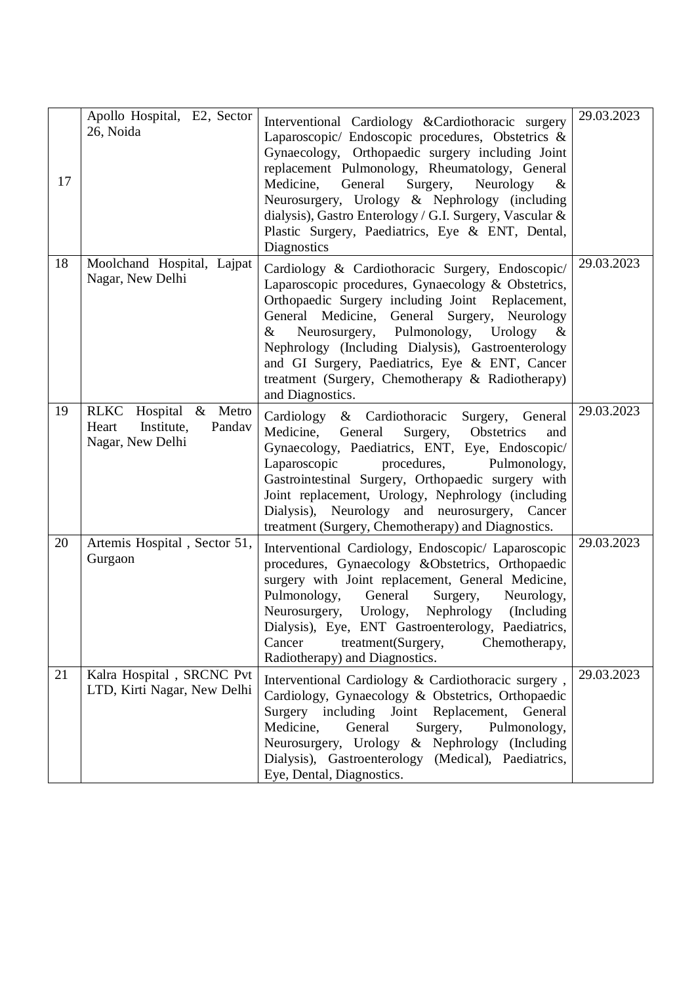| 17 | Apollo Hospital, E2, Sector<br>26, Noida                                   | Interventional Cardiology & Cardiothoracic surgery<br>Laparoscopic/ Endoscopic procedures, Obstetrics &<br>Gynaecology, Orthopaedic surgery including Joint<br>replacement Pulmonology, Rheumatology, General<br>General<br>Medicine,<br>Surgery,<br>Neurology<br>$\alpha$<br>Neurosurgery, Urology & Nephrology (including<br>dialysis), Gastro Enterology / G.I. Surgery, Vascular &<br>Plastic Surgery, Paediatrics, Eye & ENT, Dental,<br>Diagnostics | 29.03.2023 |
|----|----------------------------------------------------------------------------|-----------------------------------------------------------------------------------------------------------------------------------------------------------------------------------------------------------------------------------------------------------------------------------------------------------------------------------------------------------------------------------------------------------------------------------------------------------|------------|
| 18 | Moolchand Hospital, Lajpat<br>Nagar, New Delhi                             | Cardiology & Cardiothoracic Surgery, Endoscopic/<br>Laparoscopic procedures, Gynaecology & Obstetrics,<br>Orthopaedic Surgery including Joint Replacement,<br>General Medicine, General Surgery, Neurology<br>Neurosurgery, Pulmonology,<br>Urology<br>$\&$<br>$\alpha$<br>Nephrology (Including Dialysis), Gastroenterology<br>and GI Surgery, Paediatrics, Eye & ENT, Cancer<br>treatment (Surgery, Chemotherapy & Radiotherapy)<br>and Diagnostics.    | 29.03.2023 |
| 19 | RLKC Hospital & Metro<br>Institute,<br>Pandav<br>Heart<br>Nagar, New Delhi | Cardiology & Cardiothoracic<br>Surgery, General<br>Medicine,<br>General<br>Surgery,<br>Obstetrics<br>and<br>Gynaecology, Paediatrics, ENT, Eye, Endoscopic/<br>Laparoscopic<br>procedures,<br>Pulmonology,<br>Gastrointestinal Surgery, Orthopaedic surgery with<br>Joint replacement, Urology, Nephrology (including<br>Dialysis), Neurology and neurosurgery, Cancer<br>treatment (Surgery, Chemotherapy) and Diagnostics.                              | 29.03.2023 |
| 20 | Artemis Hospital, Sector 51,<br>Gurgaon                                    | Interventional Cardiology, Endoscopic/ Laparoscopic<br>procedures, Gynaecology &Obstetrics, Orthopaedic<br>surgery with Joint replacement, General Medicine,<br>Pulmonology,<br>General<br>Surgery,<br>Neurology,<br>Neurosurgery,<br>Urology,<br>Nephrology<br>(Including)<br>Dialysis), Eye, ENT Gastroenterology, Paediatrics,<br>treatment(Surgery,<br>Cancer<br>Chemotherapy,<br>Radiotherapy) and Diagnostics.                                      | 29.03.2023 |
| 21 | Kalra Hospital, SRCNC Pvt<br>LTD, Kirti Nagar, New Delhi                   | Interventional Cardiology & Cardiothoracic surgery,<br>Cardiology, Gynaecology & Obstetrics, Orthopaedic<br>Surgery including Joint Replacement,<br>General<br>Medicine,<br>General<br>Surgery,<br>Pulmonology,<br>Neurosurgery, Urology & Nephrology (Including<br>Dialysis), Gastroenterology (Medical), Paediatrics,<br>Eye, Dental, Diagnostics.                                                                                                      | 29.03.2023 |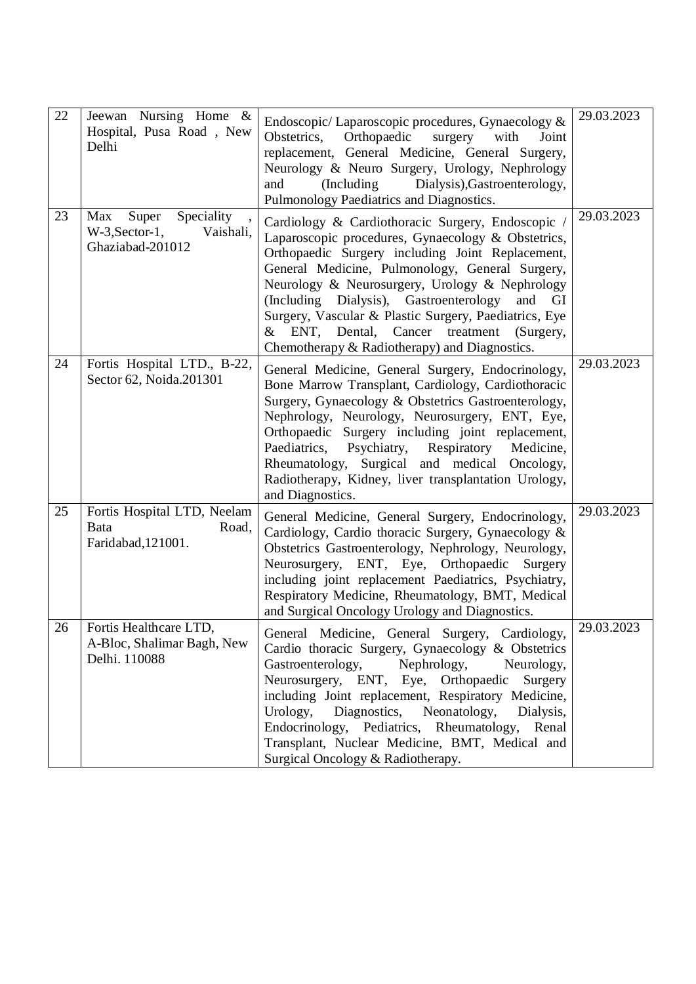| 22 | Jeewan Nursing Home &<br>Hospital, Pusa Road, New<br>Delhi                       | Endoscopic/Laparoscopic procedures, Gynaecology &<br>Obstetrics,<br>Orthopaedic<br>with<br>Joint<br>surgery<br>replacement, General Medicine, General Surgery,<br>Neurology & Neuro Surgery, Urology, Nephrology<br>Dialysis), Gastroenterology,<br>and<br>(Including)<br>Pulmonology Paediatrics and Diagnostics.                                                                                                                                                                      | 29.03.2023 |
|----|----------------------------------------------------------------------------------|-----------------------------------------------------------------------------------------------------------------------------------------------------------------------------------------------------------------------------------------------------------------------------------------------------------------------------------------------------------------------------------------------------------------------------------------------------------------------------------------|------------|
| 23 | Speciality<br>Super<br>Max<br>$W-3$ , Sector-1,<br>Vaishali,<br>Ghaziabad-201012 | Cardiology & Cardiothoracic Surgery, Endoscopic /<br>Laparoscopic procedures, Gynaecology & Obstetrics,<br>Orthopaedic Surgery including Joint Replacement,<br>General Medicine, Pulmonology, General Surgery,<br>Neurology & Neurosurgery, Urology & Nephrology<br>(Including Dialysis), Gastroenterology<br>and<br>GI<br>Surgery, Vascular & Plastic Surgery, Paediatrics, Eye<br>& ENT, Dental,<br>Cancer<br>treatment<br>(Surgery,<br>Chemotherapy & Radiotherapy) and Diagnostics. | 29.03.2023 |
| 24 | Fortis Hospital LTD., B-22,<br>Sector 62, Noida.201301                           | General Medicine, General Surgery, Endocrinology,<br>Bone Marrow Transplant, Cardiology, Cardiothoracic<br>Surgery, Gynaecology & Obstetrics Gastroenterology,<br>Nephrology, Neurology, Neurosurgery, ENT, Eye,<br>Orthopaedic Surgery including joint replacement,<br>Paediatrics, Psychiatry, Respiratory<br>Medicine,<br>Rheumatology, Surgical and medical Oncology,<br>Radiotherapy, Kidney, liver transplantation Urology,<br>and Diagnostics.                                   | 29.03.2023 |
| 25 | Fortis Hospital LTD, Neelam<br>Bata<br>Road,<br>Faridabad, 121001.               | General Medicine, General Surgery, Endocrinology,<br>Cardiology, Cardio thoracic Surgery, Gynaecology &<br>Obstetrics Gastroenterology, Nephrology, Neurology,<br>Neurosurgery, ENT, Eye, Orthopaedic<br>Surgery<br>including joint replacement Paediatrics, Psychiatry,<br>Respiratory Medicine, Rheumatology, BMT, Medical<br>and Surgical Oncology Urology and Diagnostics.                                                                                                          | 29.03.2023 |
| 26 | Fortis Healthcare LTD.<br>A-Bloc, Shalimar Bagh, New<br>Delhi. 110088            | General Medicine, General Surgery, Cardiology,<br>Cardio thoracic Surgery, Gynaecology & Obstetrics<br>Gastroenterology,<br>Nephrology,<br>Neurology,<br>Neurosurgery, ENT, Eye, Orthopaedic Surgery<br>including Joint replacement, Respiratory Medicine,<br>Diagnostics,<br>Neonatology,<br>Urology,<br>Dialysis,<br>Endocrinology, Pediatrics, Rheumatology, Renal<br>Transplant, Nuclear Medicine, BMT, Medical and<br>Surgical Oncology & Radiotherapy.                            | 29.03.2023 |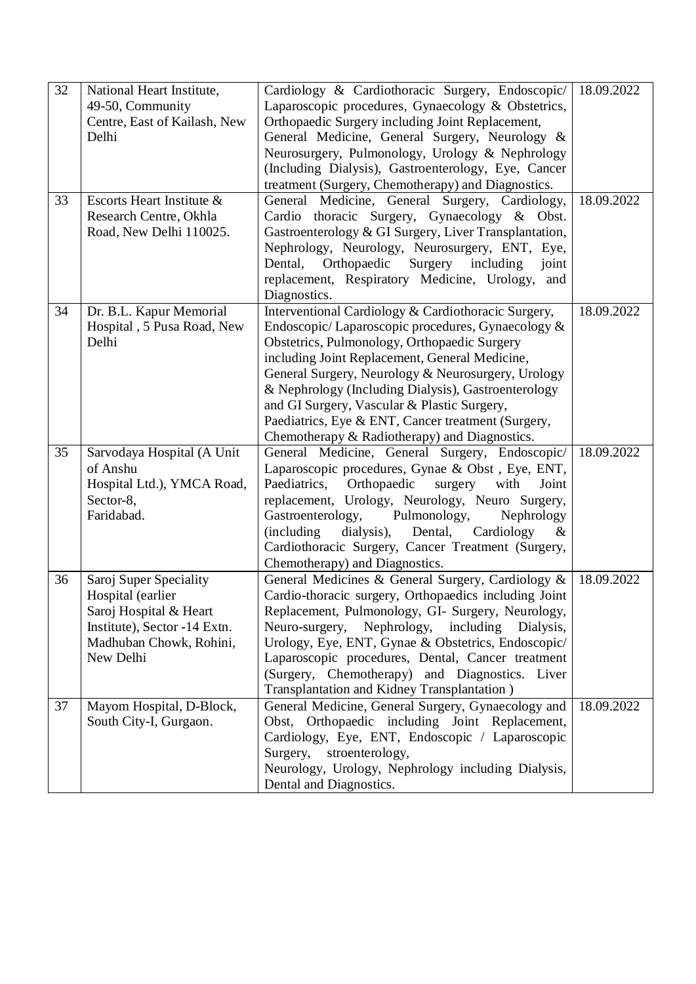| 32 | National Heart Institute,    | Cardiology & Cardiothoracic Surgery, Endoscopic/           | 18.09.2022 |
|----|------------------------------|------------------------------------------------------------|------------|
|    | 49-50, Community             | Laparoscopic procedures, Gynaecology & Obstetrics,         |            |
|    | Centre, East of Kailash, New | Orthopaedic Surgery including Joint Replacement,           |            |
|    | Delhi                        | General Medicine, General Surgery, Neurology &             |            |
|    |                              | Neurosurgery, Pulmonology, Urology & Nephrology            |            |
|    |                              | (Including Dialysis), Gastroenterology, Eye, Cancer        |            |
|    |                              | treatment (Surgery, Chemotherapy) and Diagnostics.         |            |
| 33 | Escorts Heart Institute &    | General Medicine, General Surgery, Cardiology,             | 18.09.2022 |
|    | Research Centre, Okhla       | Cardio thoracic Surgery, Gynaecology & Obst.               |            |
|    | Road, New Delhi 110025.      | Gastroenterology & GI Surgery, Liver Transplantation,      |            |
|    |                              | Nephrology, Neurology, Neurosurgery, ENT, Eye,             |            |
|    |                              | Orthopaedic<br>Surgery<br>including<br>Dental,<br>joint    |            |
|    |                              | replacement, Respiratory Medicine, Urology,<br>and         |            |
|    |                              | Diagnostics.                                               |            |
| 34 | Dr. B.L. Kapur Memorial      | Interventional Cardiology & Cardiothoracic Surgery,        | 18.09.2022 |
|    | Hospital, 5 Pusa Road, New   | Endoscopic/Laparoscopic procedures, Gynaecology &          |            |
|    | Delhi                        | Obstetrics, Pulmonology, Orthopaedic Surgery               |            |
|    |                              | including Joint Replacement, General Medicine,             |            |
|    |                              | General Surgery, Neurology & Neurosurgery, Urology         |            |
|    |                              | & Nephrology (Including Dialysis), Gastroenterology        |            |
|    |                              | and GI Surgery, Vascular & Plastic Surgery,                |            |
|    |                              | Paediatrics, Eye & ENT, Cancer treatment (Surgery,         |            |
|    |                              | Chemotherapy & Radiotherapy) and Diagnostics.              |            |
| 35 | Sarvodaya Hospital (A Unit   | General Medicine, General Surgery, Endoscopic/             | 18.09.2022 |
|    | of Anshu                     | Laparoscopic procedures, Gynae & Obst, Eye, ENT,           |            |
|    | Hospital Ltd.), YMCA Road,   | Paediatrics,<br>Orthopaedic<br>surgery<br>with<br>Joint    |            |
|    | Sector-8,                    | replacement, Urology, Neurology, Neuro Surgery,            |            |
|    | Faridabad.                   | Pulmonology,<br>Gastroenterology,<br>Nephrology            |            |
|    |                              | (including)<br>dialysis),<br>Dental,<br>Cardiology<br>$\&$ |            |
|    |                              | Cardiothoracic Surgery, Cancer Treatment (Surgery,         |            |
|    |                              | Chemotherapy) and Diagnostics.                             |            |
| 36 | Saroj Super Speciality       | General Medicines & General Surgery, Cardiology &          | 18.09.2022 |
|    | Hospital (earlier            | Cardio-thoracic surgery, Orthopaedics including Joint      |            |
|    | Saroj Hospital & Heart       | Replacement, Pulmonology, GI- Surgery, Neurology,          |            |
|    | Institute), Sector -14 Extn. | Neuro-surgery, Nephrology, including Dialysis,             |            |
|    | Madhuban Chowk, Rohini,      | Urology, Eye, ENT, Gynae & Obstetrics, Endoscopic/         |            |
|    | New Delhi                    | Laparoscopic procedures, Dental, Cancer treatment          |            |
|    |                              | (Surgery, Chemotherapy) and Diagnostics. Liver             |            |
|    |                              | Transplantation and Kidney Transplantation)                |            |
| 37 | Mayom Hospital, D-Block,     | General Medicine, General Surgery, Gynaecology and         | 18.09.2022 |
|    | South City-I, Gurgaon.       | Obst, Orthopaedic including Joint Replacement,             |            |
|    |                              | Cardiology, Eye, ENT, Endoscopic / Laparoscopic            |            |
|    |                              | Surgery,<br>stroenterology,                                |            |
|    |                              | Neurology, Urology, Nephrology including Dialysis,         |            |
|    |                              | Dental and Diagnostics.                                    |            |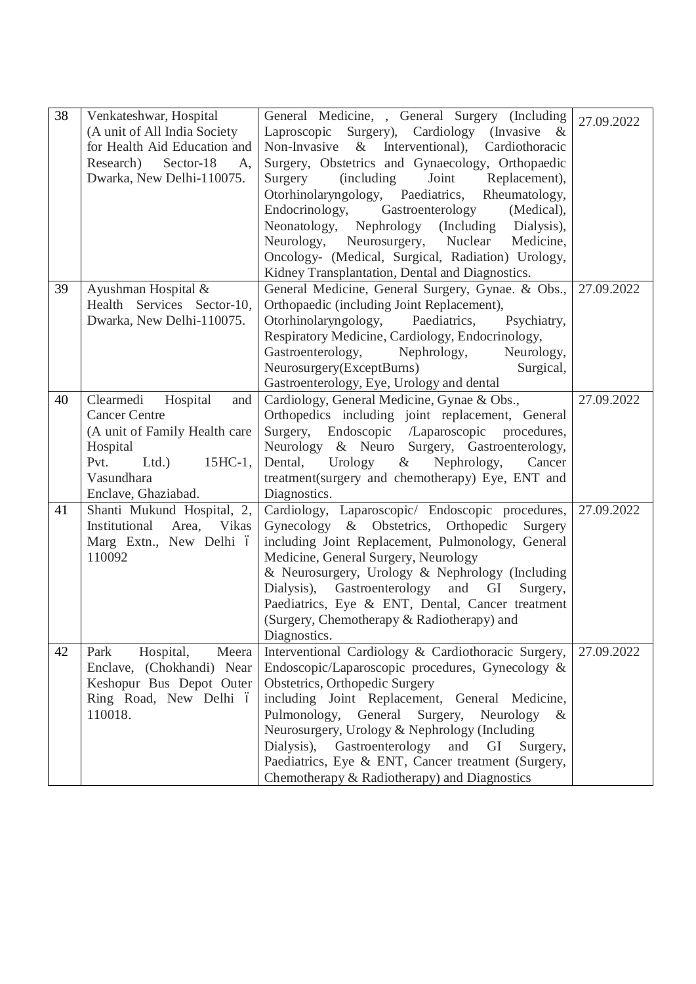| 38 | Venkateshwar, Hospital<br>(A unit of All India Society<br>for Health Aid Education and<br>Research)<br>Sector-18<br>A,<br>Dwarka, New Delhi-110075.                  | General Medicine, , General Surgery (Including<br>Laproscopic Surgery), Cardiology (Invasive &<br>Non-Invasive $\&$<br>Interventional),<br>Cardiothoracic<br>Surgery, Obstetrics and Gynaecology, Orthopaedic<br>Surgery<br><i>(including)</i><br>Joint<br>Replacement),<br>Otorhinolaryngology, Paediatrics,<br>Rheumatology,<br>Endocrinology,<br>Gastroenterology<br>(Medical),<br>(Including)<br>Neonatology,<br>Nephrology<br>Dialysis),<br>Neurology, Neurosurgery, Nuclear<br>Medicine,<br>Oncology- (Medical, Surgical, Radiation) Urology,<br>Kidney Transplantation, Dental and Diagnostics. | 27.09.2022 |
|----|----------------------------------------------------------------------------------------------------------------------------------------------------------------------|--------------------------------------------------------------------------------------------------------------------------------------------------------------------------------------------------------------------------------------------------------------------------------------------------------------------------------------------------------------------------------------------------------------------------------------------------------------------------------------------------------------------------------------------------------------------------------------------------------|------------|
| 39 | Ayushman Hospital &<br>Health Services Sector-10,<br>Dwarka, New Delhi-110075.                                                                                       | General Medicine, General Surgery, Gynae. & Obs.,<br>Orthopaedic (including Joint Replacement),<br>Otorhinolaryngology, Paediatrics,<br>Psychiatry,<br>Respiratory Medicine, Cardiology, Endocrinology,<br>Gastroenterology,<br>Nephrology,<br>Neurology,<br>Neurosurgery(ExceptBurns)<br>Surgical,<br>Gastroenterology, Eye, Urology and dental                                                                                                                                                                                                                                                       | 27.09.2022 |
| 40 | Clearmedi<br>Hospital<br>and<br><b>Cancer Centre</b><br>(A unit of Family Health care<br>Hospital<br>Pvt.<br>Ltd.<br>$15$ HC-1,<br>Vasundhara<br>Enclave, Ghaziabad. | Cardiology, General Medicine, Gynae & Obs.,<br>Orthopedics including joint replacement, General<br>Surgery, Endoscopic /Laparoscopic procedures,<br>Neurology & Neuro Surgery, Gastroenterology,<br>Dental,<br>Urology<br>Nephrology,<br>$\alpha$<br>Cancer<br>treatment(surgery and chemotherapy) Eye, ENT and<br>Diagnostics.                                                                                                                                                                                                                                                                        | 27.09.2022 |
| 41 | Shanti Mukund Hospital, 2,<br>Institutional<br>Area,<br><b>Vikas</b><br>Marg Extn., New Delhi ó<br>110092                                                            | Cardiology, Laparoscopic/ Endoscopic procedures,<br>Gynecology & Obstetrics, Orthopedic<br>Surgery<br>including Joint Replacement, Pulmonology, General<br>Medicine, General Surgery, Neurology<br>& Neurosurgery, Urology & Nephrology (Including<br>Gastroenterology and<br>Dialysis),<br>GI<br>Surgery,<br>Paediatrics, Eye & ENT, Dental, Cancer treatment<br>(Surgery, Chemotherapy & Radiotherapy) and<br>Diagnostics.                                                                                                                                                                           | 27.09.2022 |
| 42 | Hospital,<br>Meera<br>Park<br>Enclave, (Chokhandi) Near<br>Keshopur Bus Depot Outer<br>Ring Road, New Delhi ó<br>110018.                                             | Interventional Cardiology & Cardiothoracic Surgery,<br>Endoscopic/Laparoscopic procedures, Gynecology &<br>Obstetrics, Orthopedic Surgery<br>including Joint Replacement, General Medicine,<br>Pulmonology,<br>General<br>Surgery,<br>Neurology<br>$\&$<br>Neurosurgery, Urology & Nephrology (Including<br>Dialysis), Gastroenterology<br>and<br>GI<br>Surgery,<br>Paediatrics, Eye & ENT, Cancer treatment (Surgery,<br>Chemotherapy & Radiotherapy) and Diagnostics                                                                                                                                 | 27.09.2022 |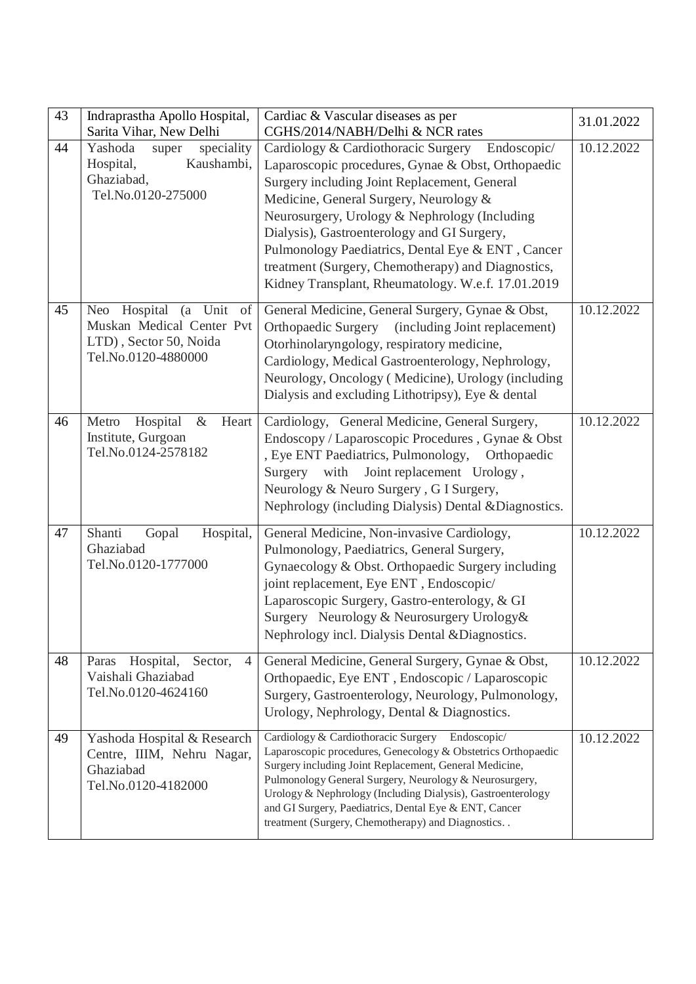| 43 | Indraprastha Apollo Hospital,<br>Sarita Vihar, New Delhi                                                              | Cardiac & Vascular diseases as per<br>CGHS/2014/NABH/Delhi & NCR rates                                                                                                                                                                                                                                                                                                                                                                                           | 31.01.2022 |
|----|-----------------------------------------------------------------------------------------------------------------------|------------------------------------------------------------------------------------------------------------------------------------------------------------------------------------------------------------------------------------------------------------------------------------------------------------------------------------------------------------------------------------------------------------------------------------------------------------------|------------|
| 44 | Yashoda<br>speciality<br>super<br>Kaushambi,<br>Hospital,<br>Ghaziabad,<br>Tel.No.0120-275000                         | Cardiology & Cardiothoracic Surgery Endoscopic/<br>Laparoscopic procedures, Gynae & Obst, Orthopaedic<br>Surgery including Joint Replacement, General<br>Medicine, General Surgery, Neurology &<br>Neurosurgery, Urology & Nephrology (Including<br>Dialysis), Gastroenterology and GI Surgery,<br>Pulmonology Paediatrics, Dental Eye & ENT, Cancer<br>treatment (Surgery, Chemotherapy) and Diagnostics,<br>Kidney Transplant, Rheumatology. W.e.f. 17.01.2019 | 10.12.2022 |
| 45 | Hospital<br>(a Unit<br>of<br><b>Neo</b><br>Muskan Medical Center Pvt<br>LTD), Sector 50, Noida<br>Tel.No.0120-4880000 | General Medicine, General Surgery, Gynae & Obst,<br><b>Orthopaedic Surgery</b><br>(including Joint replacement)<br>Otorhinolaryngology, respiratory medicine,<br>Cardiology, Medical Gastroenterology, Nephrology,<br>Neurology, Oncology (Medicine), Urology (including<br>Dialysis and excluding Lithotripsy), Eye & dental                                                                                                                                    | 10.12.2022 |
| 46 | Metro<br>Hospital<br>$\&$<br>Heart<br>Institute, Gurgoan<br>Tel.No.0124-2578182                                       | Cardiology, General Medicine, General Surgery,<br>Endoscopy / Laparoscopic Procedures, Gynae & Obst<br>, Eye ENT Paediatrics, Pulmonology,<br>Orthopaedic<br>with<br>Joint replacement Urology,<br>Surgery<br>Neurology & Neuro Surgery, G I Surgery,<br>Nephrology (including Dialysis) Dental & Diagnostics.                                                                                                                                                   | 10.12.2022 |
| 47 | Shanti<br>Hospital,<br>Gopal<br>Ghaziabad<br>Tel.No.0120-1777000                                                      | General Medicine, Non-invasive Cardiology,<br>Pulmonology, Paediatrics, General Surgery,<br>Gynaecology & Obst. Orthopaedic Surgery including<br>joint replacement, Eye ENT, Endoscopic/<br>Laparoscopic Surgery, Gastro-enterology, & GI<br>Surgery Neurology & Neurosurgery Urology &<br>Nephrology incl. Dialysis Dental & Diagnostics.                                                                                                                       | 10.12.2022 |
| 48 | Hospital,<br>Sector,<br>Paras<br>4<br>Vaishali Ghaziabad<br>Tel.No.0120-4624160                                       | General Medicine, General Surgery, Gynae & Obst,<br>Orthopaedic, Eye ENT, Endoscopic / Laparoscopic<br>Surgery, Gastroenterology, Neurology, Pulmonology,<br>Urology, Nephrology, Dental & Diagnostics.                                                                                                                                                                                                                                                          | 10.12.2022 |
| 49 | Yashoda Hospital & Research<br>Centre, IIIM, Nehru Nagar,<br>Ghaziabad<br>Tel.No.0120-4182000                         | Cardiology & Cardiothoracic Surgery<br>Endoscopic/<br>Laparoscopic procedures, Genecology & Obstetrics Orthopaedic<br>Surgery including Joint Replacement, General Medicine,<br>Pulmonology General Surgery, Neurology & Neurosurgery,<br>Urology & Nephrology (Including Dialysis), Gastroenterology<br>and GI Surgery, Paediatrics, Dental Eye & ENT, Cancer<br>treatment (Surgery, Chemotherapy) and Diagnostics                                              | 10.12.2022 |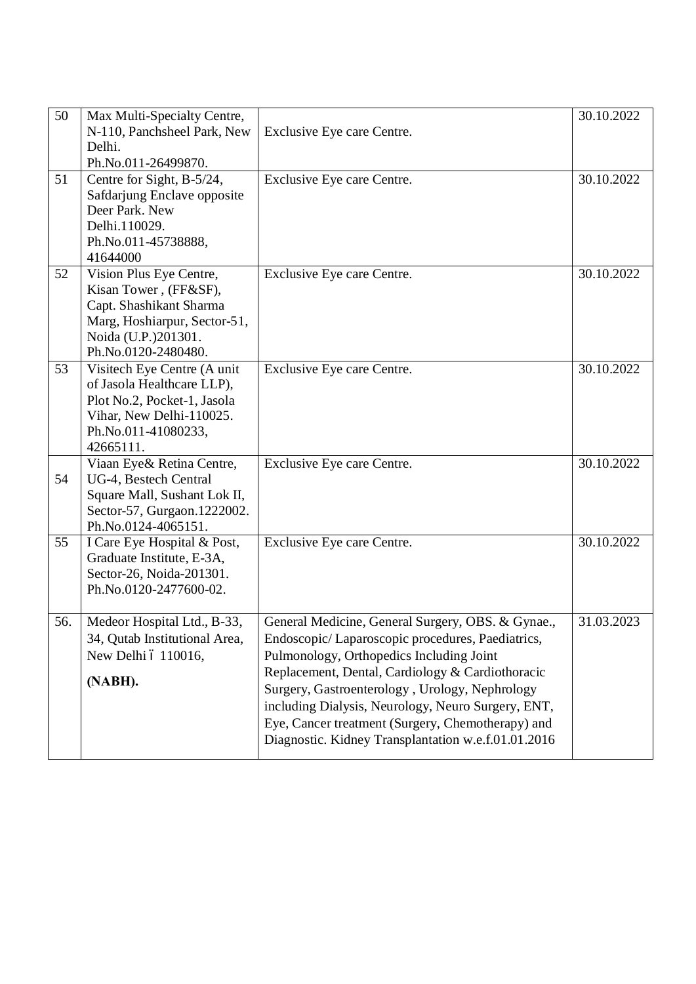| 50  | Max Multi-Specialty Centre,<br>N-110, Panchsheel Park, New   | Exclusive Eye care Centre.                                                                            | 30.10.2022 |
|-----|--------------------------------------------------------------|-------------------------------------------------------------------------------------------------------|------------|
|     | Delhi.                                                       |                                                                                                       |            |
|     | Ph.No.011-26499870.                                          |                                                                                                       |            |
| 51  | Centre for Sight, B-5/24,<br>Safdarjung Enclave opposite     | Exclusive Eye care Centre.                                                                            | 30.10.2022 |
|     | Deer Park. New                                               |                                                                                                       |            |
|     | Delhi.110029.                                                |                                                                                                       |            |
|     | Ph.No.011-45738888,                                          |                                                                                                       |            |
|     | 41644000                                                     |                                                                                                       |            |
| 52  | Vision Plus Eye Centre,<br>Kisan Tower, (FF&SF),             | Exclusive Eye care Centre.                                                                            | 30.10.2022 |
|     | Capt. Shashikant Sharma                                      |                                                                                                       |            |
|     | Marg, Hoshiarpur, Sector-51,                                 |                                                                                                       |            |
|     | Noida (U.P.)201301.                                          |                                                                                                       |            |
|     | Ph.No.0120-2480480.                                          |                                                                                                       |            |
| 53  | Visitech Eye Centre (A unit<br>of Jasola Healthcare LLP),    | Exclusive Eye care Centre.                                                                            | 30.10.2022 |
|     | Plot No.2, Pocket-1, Jasola                                  |                                                                                                       |            |
|     | Vihar, New Delhi-110025.                                     |                                                                                                       |            |
|     | Ph.No.011-41080233,                                          |                                                                                                       |            |
|     | 42665111.                                                    |                                                                                                       | 30.10.2022 |
| 54  | Viaan Eye& Retina Centre,<br>UG-4, Bestech Central           | Exclusive Eye care Centre.                                                                            |            |
|     | Square Mall, Sushant Lok II,                                 |                                                                                                       |            |
|     | Sector-57, Gurgaon.1222002.                                  |                                                                                                       |            |
|     | Ph.No.0124-4065151.                                          |                                                                                                       |            |
| 55  | I Care Eye Hospital & Post,<br>Graduate Institute, E-3A,     | Exclusive Eye care Centre.                                                                            | 30.10.2022 |
|     | Sector-26, Noida-201301.                                     |                                                                                                       |            |
|     | Ph.No.0120-2477600-02.                                       |                                                                                                       |            |
|     |                                                              |                                                                                                       |            |
| 56. | Medeor Hospital Ltd., B-33,<br>34, Qutab Institutional Area, | General Medicine, General Surgery, OBS. & Gynae.,<br>Endoscopic/Laparoscopic procedures, Paediatrics, | 31.03.2023 |
|     | New Delhi ó 110016,                                          | Pulmonology, Orthopedics Including Joint                                                              |            |
|     |                                                              | Replacement, Dental, Cardiology & Cardiothoracic                                                      |            |
|     | (NABH).                                                      | Surgery, Gastroenterology, Urology, Nephrology                                                        |            |
|     |                                                              | including Dialysis, Neurology, Neuro Surgery, ENT,                                                    |            |
|     |                                                              | Eye, Cancer treatment (Surgery, Chemotherapy) and                                                     |            |
|     |                                                              | Diagnostic. Kidney Transplantation w.e.f.01.01.2016                                                   |            |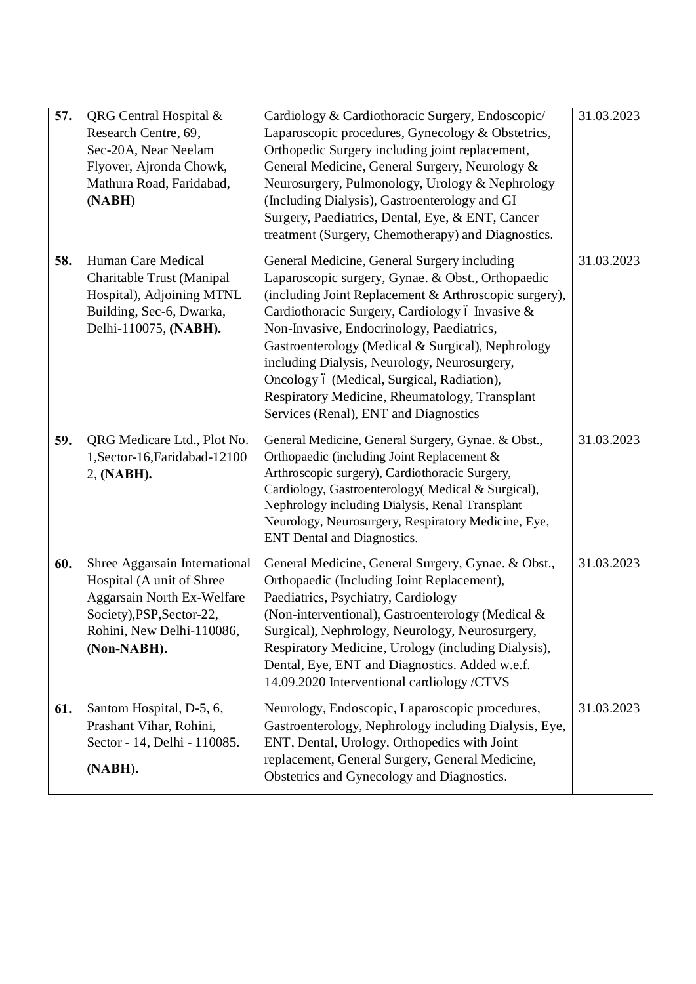| 57. | QRG Central Hospital &<br>Research Centre, 69,<br>Sec-20A, Near Neelam<br>Flyover, Ajronda Chowk,<br>Mathura Road, Faridabad,<br>(NABH)                           | Cardiology & Cardiothoracic Surgery, Endoscopic/<br>Laparoscopic procedures, Gynecology & Obstetrics,<br>Orthopedic Surgery including joint replacement,<br>General Medicine, General Surgery, Neurology &<br>Neurosurgery, Pulmonology, Urology & Nephrology<br>(Including Dialysis), Gastroenterology and GI<br>Surgery, Paediatrics, Dental, Eye, & ENT, Cancer<br>treatment (Surgery, Chemotherapy) and Diagnostics.                                                                                | 31.03.2023 |
|-----|-------------------------------------------------------------------------------------------------------------------------------------------------------------------|---------------------------------------------------------------------------------------------------------------------------------------------------------------------------------------------------------------------------------------------------------------------------------------------------------------------------------------------------------------------------------------------------------------------------------------------------------------------------------------------------------|------------|
| 58. | Human Care Medical<br>Charitable Trust (Manipal<br>Hospital), Adjoining MTNL<br>Building, Sec-6, Dwarka,<br>Delhi-110075, (NABH).                                 | General Medicine, General Surgery including<br>Laparoscopic surgery, Gynae. & Obst., Orthopaedic<br>(including Joint Replacement & Arthroscopic surgery),<br>Cardiothoracic Surgery, Cardiology ó Invasive &<br>Non-Invasive, Endocrinology, Paediatrics,<br>Gastroenterology (Medical & Surgical), Nephrology<br>including Dialysis, Neurology, Neurosurgery,<br>Oncology ó (Medical, Surgical, Radiation),<br>Respiratory Medicine, Rheumatology, Transplant<br>Services (Renal), ENT and Diagnostics | 31.03.2023 |
| 59. | QRG Medicare Ltd., Plot No.<br>1, Sector-16, Faridabad-12100<br>2, (NABH).                                                                                        | General Medicine, General Surgery, Gynae. & Obst.,<br>Orthopaedic (including Joint Replacement &<br>Arthroscopic surgery), Cardiothoracic Surgery,<br>Cardiology, Gastroenterology(Medical & Surgical),<br>Nephrology including Dialysis, Renal Transplant<br>Neurology, Neurosurgery, Respiratory Medicine, Eye,<br><b>ENT</b> Dental and Diagnostics.                                                                                                                                                 | 31.03.2023 |
| 60. | Shree Aggarsain International<br>Hospital (A unit of Shree<br>Aggarsain North Ex-Welfare<br>Society), PSP, Sector-22,<br>Rohini, New Delhi-110086,<br>(Non-NABH). | General Medicine, General Surgery, Gynae. & Obst.,<br>Orthopaedic (Including Joint Replacement),<br>Paediatrics, Psychiatry, Cardiology<br>(Non-interventional), Gastroenterology (Medical &<br>Surgical), Nephrology, Neurology, Neurosurgery,<br>Respiratory Medicine, Urology (including Dialysis),<br>Dental, Eye, ENT and Diagnostics. Added w.e.f.<br>14.09.2020 Interventional cardiology /CTVS                                                                                                  | 31.03.2023 |
| 61. | Santom Hospital, D-5, 6,<br>Prashant Vihar, Rohini,<br>Sector - 14, Delhi - 110085.<br>(NABH).                                                                    | Neurology, Endoscopic, Laparoscopic procedures,<br>Gastroenterology, Nephrology including Dialysis, Eye,<br>ENT, Dental, Urology, Orthopedics with Joint<br>replacement, General Surgery, General Medicine,<br>Obstetrics and Gynecology and Diagnostics.                                                                                                                                                                                                                                               | 31.03.2023 |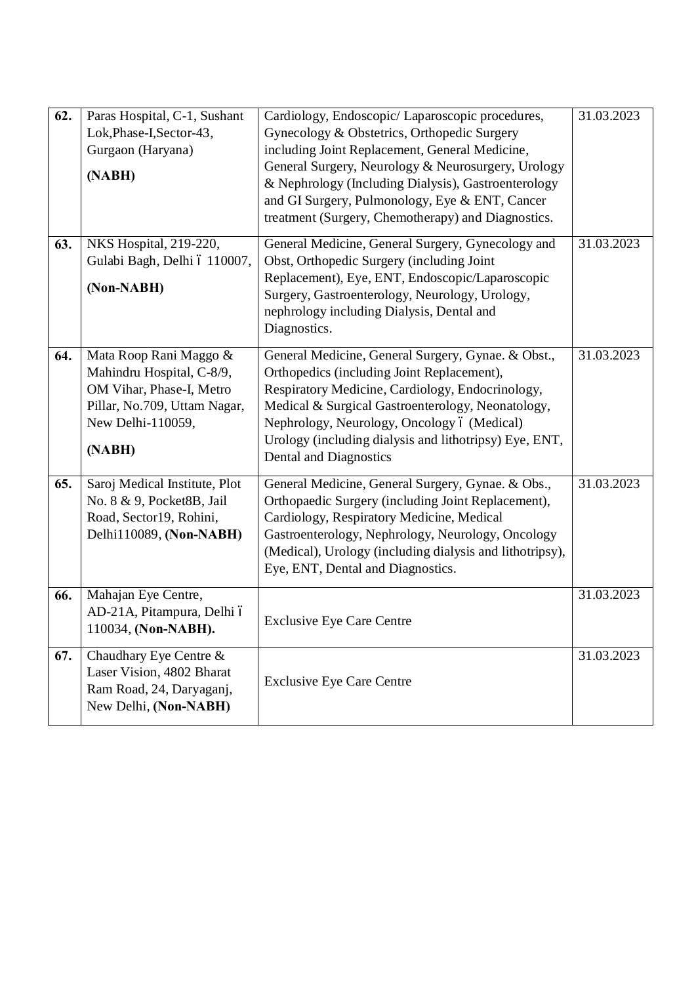| 62. | Paras Hospital, C-1, Sushant<br>Lok, Phase-I, Sector-43,<br>Gurgaon (Haryana)<br>(NABH)                                                        | Cardiology, Endoscopic/ Laparoscopic procedures,<br>Gynecology & Obstetrics, Orthopedic Surgery<br>including Joint Replacement, General Medicine,<br>General Surgery, Neurology & Neurosurgery, Urology<br>& Nephrology (Including Dialysis), Gastroenterology<br>and GI Surgery, Pulmonology, Eye & ENT, Cancer<br>treatment (Surgery, Chemotherapy) and Diagnostics. | 31.03.2023 |
|-----|------------------------------------------------------------------------------------------------------------------------------------------------|------------------------------------------------------------------------------------------------------------------------------------------------------------------------------------------------------------------------------------------------------------------------------------------------------------------------------------------------------------------------|------------|
| 63. | NKS Hospital, 219-220,<br>Gulabi Bagh, Delhi ó 110007,<br>(Non-NABH)                                                                           | General Medicine, General Surgery, Gynecology and<br>Obst, Orthopedic Surgery (including Joint<br>Replacement), Eye, ENT, Endoscopic/Laparoscopic<br>Surgery, Gastroenterology, Neurology, Urology,<br>nephrology including Dialysis, Dental and<br>Diagnostics.                                                                                                       | 31.03.2023 |
| 64. | Mata Roop Rani Maggo &<br>Mahindru Hospital, C-8/9,<br>OM Vihar, Phase-I, Metro<br>Pillar, No.709, Uttam Nagar,<br>New Delhi-110059,<br>(NABH) | General Medicine, General Surgery, Gynae. & Obst.,<br>Orthopedics (including Joint Replacement),<br>Respiratory Medicine, Cardiology, Endocrinology,<br>Medical & Surgical Gastroenterology, Neonatology,<br>Nephrology, Neurology, Oncology ó (Medical)<br>Urology (including dialysis and lithotripsy) Eye, ENT,<br>Dental and Diagnostics                           | 31.03.2023 |
| 65. | Saroj Medical Institute, Plot<br>No. 8 & 9, Pocket8B, Jail<br>Road, Sector19, Rohini,<br>Delhi110089, (Non-NABH)                               | General Medicine, General Surgery, Gynae. & Obs.,<br>Orthopaedic Surgery (including Joint Replacement),<br>Cardiology, Respiratory Medicine, Medical<br>Gastroenterology, Nephrology, Neurology, Oncology<br>(Medical), Urology (including dialysis and lithotripsy),<br>Eye, ENT, Dental and Diagnostics.                                                             | 31.03.2023 |
| 66. | Mahajan Eye Centre,<br>AD-21A, Pitampura, Delhi ó<br>110034, (Non-NABH).                                                                       | <b>Exclusive Eye Care Centre</b>                                                                                                                                                                                                                                                                                                                                       | 31.03.2023 |
| 67. | Chaudhary Eye Centre &<br>Laser Vision, 4802 Bharat<br>Ram Road, 24, Daryaganj,<br>New Delhi, (Non-NABH)                                       | <b>Exclusive Eye Care Centre</b>                                                                                                                                                                                                                                                                                                                                       | 31.03.2023 |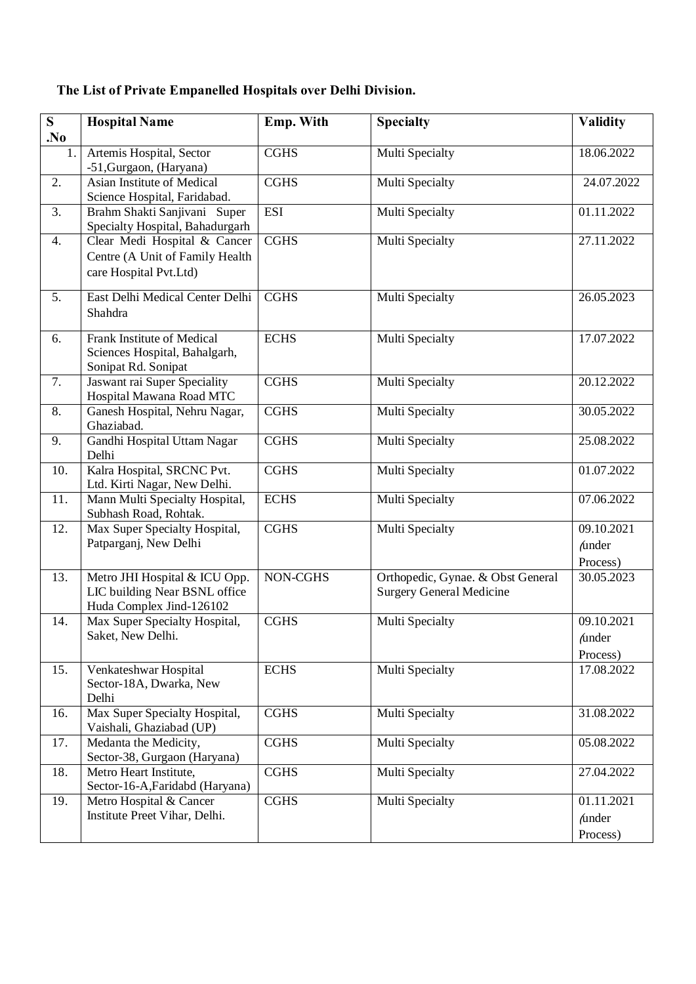# **The List of Private Empanelled Hospitals over Delhi Division.**

| S<br>N <sub>0</sub> | <b>Hospital Name</b>                                                                       | Emp. With   | <b>Specialty</b>                                                     | <b>Validity</b>                         |
|---------------------|--------------------------------------------------------------------------------------------|-------------|----------------------------------------------------------------------|-----------------------------------------|
| 1.                  | Artemis Hospital, Sector<br>-51, Gurgaon, (Haryana)                                        | <b>CGHS</b> | Multi Specialty                                                      | 18.06.2022                              |
| 2.                  | Asian Institute of Medical<br>Science Hospital, Faridabad.                                 | <b>CGHS</b> | Multi Specialty                                                      | 24.07.2022                              |
| 3.                  | Brahm Shakti Sanjivani Super<br>Specialty Hospital, Bahadurgarh                            | <b>ESI</b>  | Multi Specialty                                                      | 01.11.2022                              |
| 4.                  | Clear Medi Hospital & Cancer<br>Centre (A Unit of Family Health<br>care Hospital Pvt.Ltd)  | <b>CGHS</b> | Multi Specialty                                                      | 27.11.2022                              |
| 5.                  | East Delhi Medical Center Delhi<br>Shahdra                                                 | <b>CGHS</b> | Multi Specialty                                                      | 26.05.2023                              |
| 6.                  | Frank Institute of Medical<br>Sciences Hospital, Bahalgarh,<br>Sonipat Rd. Sonipat         | <b>ECHS</b> | Multi Specialty                                                      | 17.07.2022                              |
| 7.                  | Jaswant rai Super Speciality<br>Hospital Mawana Road MTC                                   | <b>CGHS</b> | Multi Specialty                                                      | 20.12.2022                              |
| 8.                  | Ganesh Hospital, Nehru Nagar,<br>Ghaziabad.                                                | <b>CGHS</b> | Multi Specialty                                                      | 30.05.2022                              |
| 9.                  | Gandhi Hospital Uttam Nagar<br>Delhi                                                       | <b>CGHS</b> | Multi Specialty                                                      | 25.08.2022                              |
| 10.                 | Kalra Hospital, SRCNC Pvt.<br>Ltd. Kirti Nagar, New Delhi.                                 | <b>CGHS</b> | Multi Specialty                                                      | 01.07.2022                              |
| 11.                 | Mann Multi Specialty Hospital,<br>Subhash Road, Rohtak.                                    | <b>ECHS</b> | Multi Specialty                                                      | 07.06.2022                              |
| 12.                 | Max Super Specialty Hospital,<br>Patparganj, New Delhi                                     | <b>CGHS</b> | Multi Specialty                                                      | 09.10.2021<br><i>funder</i><br>Process) |
| 13.                 | Metro JHI Hospital & ICU Opp.<br>LIC building Near BSNL office<br>Huda Complex Jind-126102 | NON-CGHS    | Orthopedic, Gynae. & Obst General<br><b>Surgery General Medicine</b> | 30.05.2023                              |
| 14.                 | Max Super Specialty Hospital,<br>Saket, New Delhi.                                         | <b>CGHS</b> | Multi Specialty                                                      | 09.10.2021<br><i>funder</i><br>Process) |
| 15.                 | Venkateshwar Hospital<br>Sector-18A, Dwarka, New<br>Delhi                                  | <b>ECHS</b> | Multi Specialty                                                      | 17.08.2022                              |
| 16.                 | Max Super Specialty Hospital,<br>Vaishali, Ghaziabad (UP)                                  | <b>CGHS</b> | Multi Specialty                                                      | 31.08.2022                              |
| 17.                 | Medanta the Medicity,<br>Sector-38, Gurgaon (Haryana)                                      | <b>CGHS</b> | Multi Specialty                                                      | 05.08.2022                              |
| 18.                 | Metro Heart Institute,<br>Sector-16-A, Faridabd (Haryana)                                  | <b>CGHS</b> | Multi Specialty                                                      | 27.04.2022                              |
| 19.                 | Metro Hospital & Cancer<br>Institute Preet Vihar, Delhi.                                   | <b>CGHS</b> | <b>Multi Specialty</b>                                               | 01.11.2021<br><i>funder</i><br>Process) |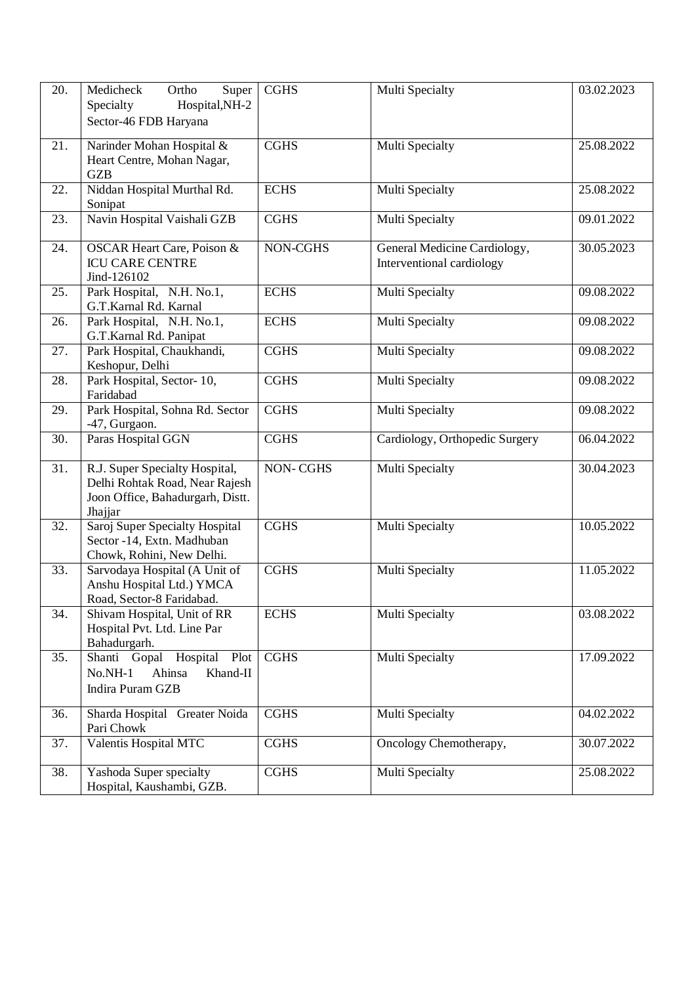| 20.               | Medicheck<br>Ortho<br>Super<br>Specialty<br>Hospital, NH-2<br>Sector-46 FDB Haryana                             | <b>CGHS</b>     | Multi Specialty                                           | 03.02.2023 |
|-------------------|-----------------------------------------------------------------------------------------------------------------|-----------------|-----------------------------------------------------------|------------|
| 21.               | Narinder Mohan Hospital &<br>Heart Centre, Mohan Nagar,<br><b>GZB</b>                                           | <b>CGHS</b>     | Multi Specialty                                           | 25.08.2022 |
| 22.               | Niddan Hospital Murthal Rd.<br>Sonipat                                                                          | <b>ECHS</b>     | Multi Specialty                                           | 25.08.2022 |
| 23.               | Navin Hospital Vaishali GZB                                                                                     | <b>CGHS</b>     | Multi Specialty                                           | 09.01.2022 |
| 24.               | <b>OSCAR Heart Care, Poison &amp;</b><br><b>ICU CARE CENTRE</b><br>Jind-126102                                  | NON-CGHS        | General Medicine Cardiology,<br>Interventional cardiology | 30.05.2023 |
| 25.               | Park Hospital, N.H. No.1,<br>G.T.Karnal Rd. Karnal                                                              | <b>ECHS</b>     | Multi Specialty                                           | 09.08.2022 |
| 26.               | Park Hospital, N.H. No.1,<br>G.T.Karnal Rd. Panipat                                                             | <b>ECHS</b>     | Multi Specialty                                           | 09.08.2022 |
| 27.               | Park Hospital, Chaukhandi,<br>Keshopur, Delhi                                                                   | <b>CGHS</b>     | Multi Specialty                                           | 09.08.2022 |
| 28.               | Park Hospital, Sector-10,<br>Faridabad                                                                          | <b>CGHS</b>     | Multi Specialty                                           | 09.08.2022 |
| 29.               | Park Hospital, Sohna Rd. Sector<br>-47, Gurgaon.                                                                | <b>CGHS</b>     | Multi Specialty                                           | 09.08.2022 |
| 30.               | Paras Hospital GGN                                                                                              | <b>CGHS</b>     | Cardiology, Orthopedic Surgery                            | 06.04.2022 |
| 31.               | R.J. Super Specialty Hospital,<br>Delhi Rohtak Road, Near Rajesh<br>Joon Office, Bahadurgarh, Distt.<br>Jhajjar | <b>NON-CGHS</b> | Multi Specialty                                           | 30.04.2023 |
| 32.               | Saroj Super Specialty Hospital<br>Sector -14, Extn. Madhuban<br>Chowk, Rohini, New Delhi.                       | <b>CGHS</b>     | Multi Specialty                                           | 10.05.2022 |
| $\overline{33}$ . | Sarvodaya Hospital (A Unit of<br>Anshu Hospital Ltd.) YMCA<br>Road, Sector-8 Faridabad.                         | <b>CGHS</b>     | Multi Specialty                                           | 11.05.2022 |
| 34.               | Shivam Hospital, Unit of RR<br>Hospital Pvt. Ltd. Line Par<br>Bahadurgarh.                                      | <b>ECHS</b>     | Multi Specialty                                           | 03.08.2022 |
| 35.               | Shanti Gopal Hospital<br>Plot<br>Khand-II<br>$No.NH-1$<br>Ahinsa<br>Indira Puram GZB                            | <b>CGHS</b>     | <b>Multi Specialty</b>                                    | 17.09.2022 |
| 36.               | Sharda Hospital Greater Noida<br>Pari Chowk                                                                     | <b>CGHS</b>     | Multi Specialty                                           | 04.02.2022 |
| 37.               | Valentis Hospital MTC                                                                                           | <b>CGHS</b>     | Oncology Chemotherapy,                                    | 30.07.2022 |
| 38.               | Yashoda Super specialty<br>Hospital, Kaushambi, GZB.                                                            | <b>CGHS</b>     | Multi Specialty                                           | 25.08.2022 |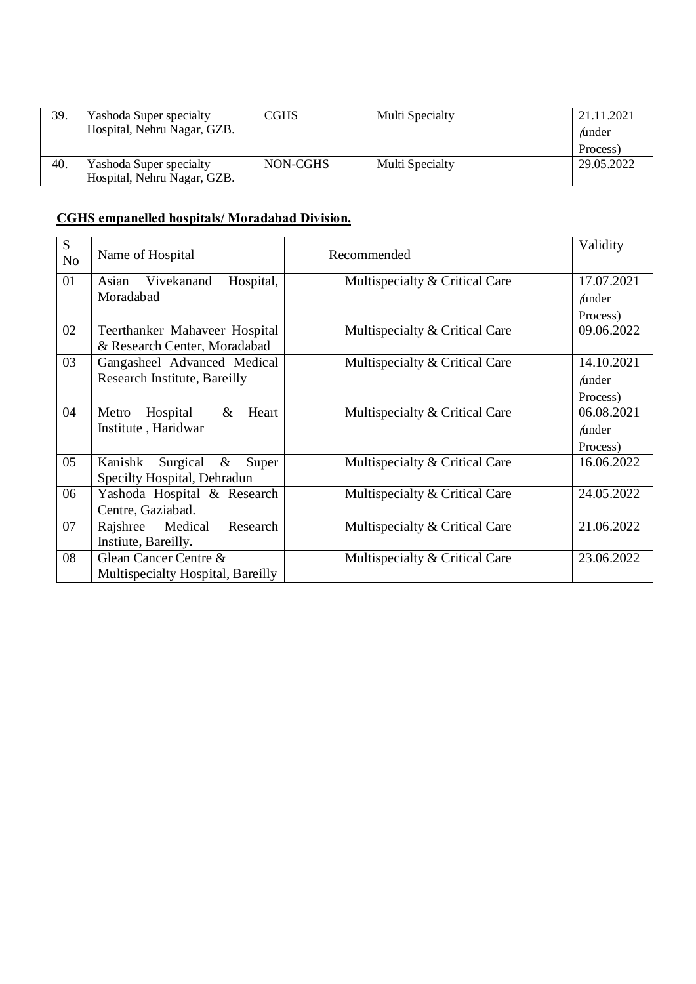| 39. | <b>Yashoda Super specialty</b> | <b>CGHS</b> | Multi Specialty | 21.11.2021     |
|-----|--------------------------------|-------------|-----------------|----------------|
|     | Hospital, Nehru Nagar, GZB.    |             |                 | <i>f</i> under |
|     |                                |             |                 | Process)       |
| 40. | <b>Yashoda Super specialty</b> | NON-CGHS    | Multi Specialty | 29.05.2022     |
|     | Hospital, Nehru Nagar, GZB.    |             |                 |                |

#### **CGHS empanelled hospitals/ Moradabad Division.**

| S<br>N <sub>o</sub> | Name of Hospital                     | Recommended                    | Validity      |
|---------------------|--------------------------------------|--------------------------------|---------------|
| 01                  | Hospital,<br>Vivekanand<br>Asian     | Multispecialty & Critical Care | 17.07.2021    |
|                     | Moradabad                            |                                | <i>funder</i> |
|                     |                                      |                                | Process)      |
| 02                  | Teerthanker Mahaveer Hospital        | Multispecialty & Critical Care | 09.06.2022    |
|                     | & Research Center, Moradabad         |                                |               |
| 03                  | Gangasheel Advanced Medical          | Multispecialty & Critical Care | 14.10.2021    |
|                     | Research Institute, Bareilly         |                                | <i>funder</i> |
|                     |                                      |                                | Process)      |
| 04                  | Hospital<br>$\&$<br>Heart<br>Metro   | Multispecialty & Critical Care | 06.08.2021    |
|                     | Institute, Haridwar                  |                                | <i>funder</i> |
|                     |                                      |                                | Process)      |
| 05                  | Kanishk<br>Surgical<br>$\&$<br>Super | Multispecialty & Critical Care | 16.06.2022    |
|                     | Specilty Hospital, Dehradun          |                                |               |
| 06                  | Yashoda Hospital & Research          | Multispecialty & Critical Care | 24.05.2022    |
|                     | Centre, Gaziabad.                    |                                |               |
| 07                  | Medical<br>Research<br>Rajshree      | Multispecialty & Critical Care | 21.06.2022    |
|                     | Instiute, Bareilly.                  |                                |               |
| 08                  | Glean Cancer Centre &                | Multispecialty & Critical Care | 23.06.2022    |
|                     | Multispecialty Hospital, Bareilly    |                                |               |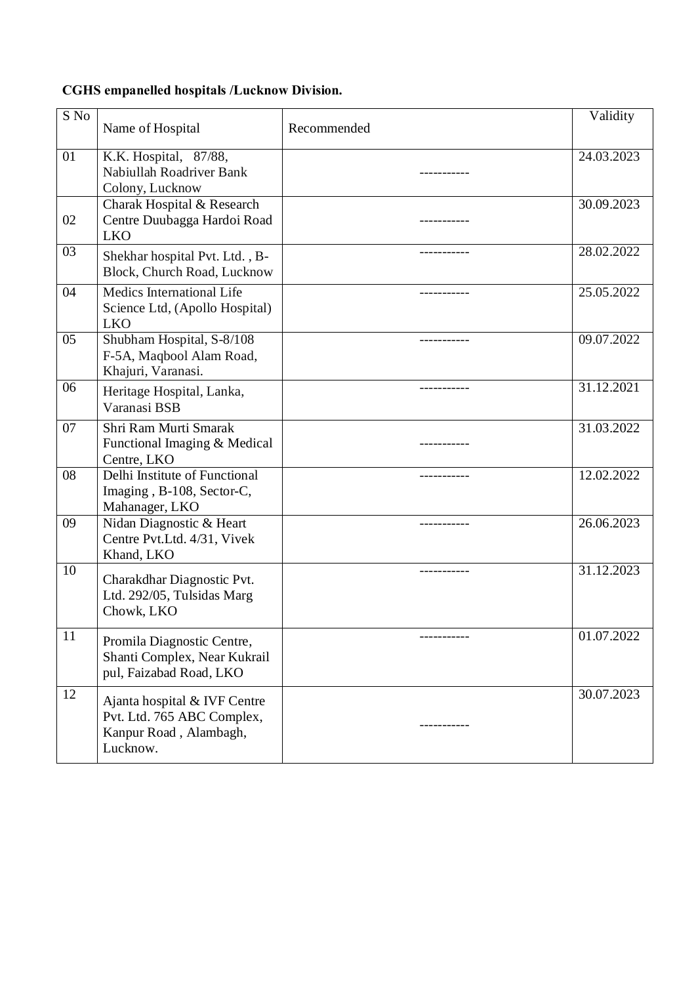# **CGHS empanelled hospitals /Lucknow Division.**

| S No | Name of Hospital                                                                                 | Recommended | Validity   |
|------|--------------------------------------------------------------------------------------------------|-------------|------------|
| 01   | K.K. Hospital, 87/88,<br>Nabiullah Roadriver Bank<br>Colony, Lucknow                             |             | 24.03.2023 |
| 02   | Charak Hospital & Research<br>Centre Duubagga Hardoi Road<br><b>LKO</b>                          | ----------- | 30.09.2023 |
| 03   | Shekhar hospital Pvt. Ltd., B-<br>Block, Church Road, Lucknow                                    |             | 28.02.2022 |
| 04   | Medics International Life<br>Science Ltd, (Apollo Hospital)<br><b>LKO</b>                        |             | 25.05.2022 |
| 05   | Shubham Hospital, S-8/108<br>F-5A, Maqbool Alam Road,<br>Khajuri, Varanasi.                      |             | 09.07.2022 |
| 06   | Heritage Hospital, Lanka,<br>Varanasi BSB                                                        | ----------- | 31.12.2021 |
| 07   | Shri Ram Murti Smarak<br>Functional Imaging & Medical<br>Centre, LKO                             |             | 31.03.2022 |
| 08   | Delhi Institute of Functional<br>Imaging, B-108, Sector-C,<br>Mahanager, LKO                     | ----------- | 12.02.2022 |
| 09   | Nidan Diagnostic & Heart<br>Centre Pvt.Ltd. 4/31, Vivek<br>Khand, LKO                            | ----------- | 26.06.2023 |
| 10   | Charakdhar Diagnostic Pvt.<br>Ltd. 292/05, Tulsidas Marg<br>Chowk, LKO                           |             | 31.12.2023 |
| 11   | Promila Diagnostic Centre,<br>Shanti Complex, Near Kukrail<br>pul, Faizabad Road, LKO            |             | 01.07.2022 |
| 12   | Ajanta hospital & IVF Centre<br>Pvt. Ltd. 765 ABC Complex,<br>Kanpur Road, Alambagh,<br>Lucknow. | ----------  | 30.07.2023 |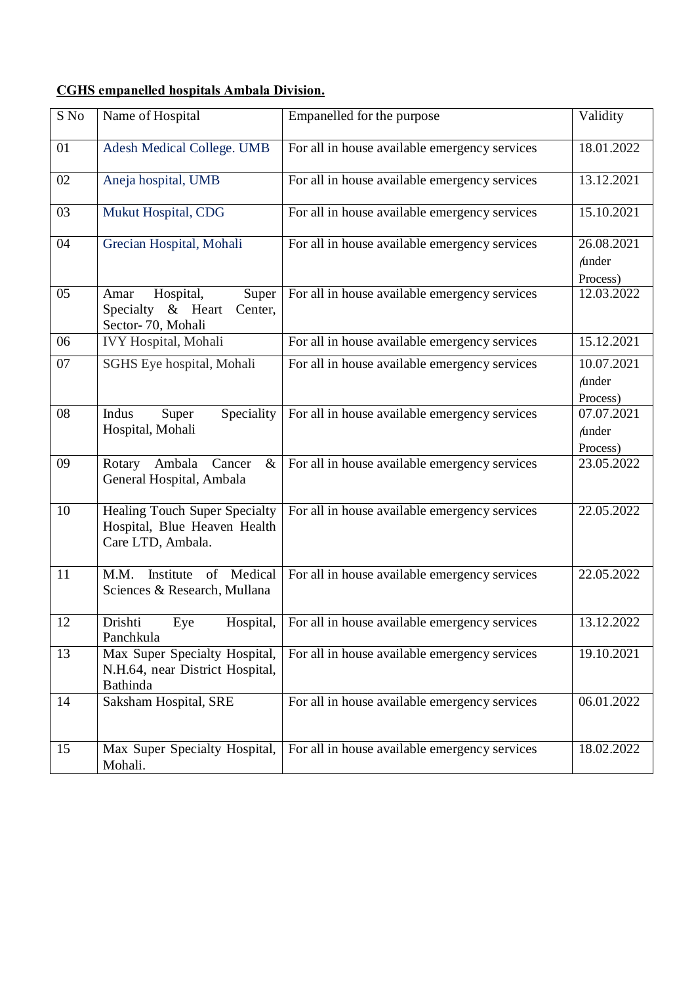#### **CGHS empanelled hospitals Ambala Division.**

| S No | Name of Hospital                                                                    | Empanelled for the purpose                    | Validity                                             |
|------|-------------------------------------------------------------------------------------|-----------------------------------------------|------------------------------------------------------|
| 01   | <b>Adesh Medical College. UMB</b>                                                   | For all in house available emergency services | 18.01.2022                                           |
| 02   | Aneja hospital, UMB                                                                 | For all in house available emergency services | 13.12.2021                                           |
| 03   | Mukut Hospital, CDG                                                                 | For all in house available emergency services | 15.10.2021                                           |
| 04   | Grecian Hospital, Mohali                                                            | For all in house available emergency services | 26.08.2021<br><i>funder</i><br>Process)              |
| 05   | Hospital,<br>Super<br>Amar<br>Specialty & Heart<br>Center,<br>Sector-70, Mohali     | For all in house available emergency services | 12.03.2022                                           |
| 06   | <b>IVY Hospital</b> , Mohali                                                        | For all in house available emergency services | 15.12.2021                                           |
| 07   | SGHS Eye hospital, Mohali                                                           | For all in house available emergency services | 10.07.2021<br><i>funder</i><br>Process)              |
| 08   | Indus<br>Speciality<br>Super<br>Hospital, Mohali                                    | For all in house available emergency services | $\overline{07.07}.2021$<br><i>funder</i><br>Process) |
| 09   | Rotary Ambala<br>Cancer<br>$\&$<br>General Hospital, Ambala                         | For all in house available emergency services | 23.05.2022                                           |
| 10   | Healing Touch Super Specialty<br>Hospital, Blue Heaven Health<br>Care LTD, Ambala.  | For all in house available emergency services | 22.05.2022                                           |
| 11   | of Medical<br>M.M.<br>Institute<br>Sciences & Research, Mullana                     | For all in house available emergency services | 22.05.2022                                           |
| 12   | Drishti<br>Hospital,<br>Eye<br>Panchkula                                            | For all in house available emergency services | 13.12.2022                                           |
| 13   | Max Super Specialty Hospital,<br>N.H.64, near District Hospital,<br><b>Bathinda</b> | For all in house available emergency services | 19.10.2021                                           |
| 14   | Saksham Hospital, SRE                                                               | For all in house available emergency services | 06.01.2022                                           |
| 15   | Max Super Specialty Hospital,<br>Mohali.                                            | For all in house available emergency services | 18.02.2022                                           |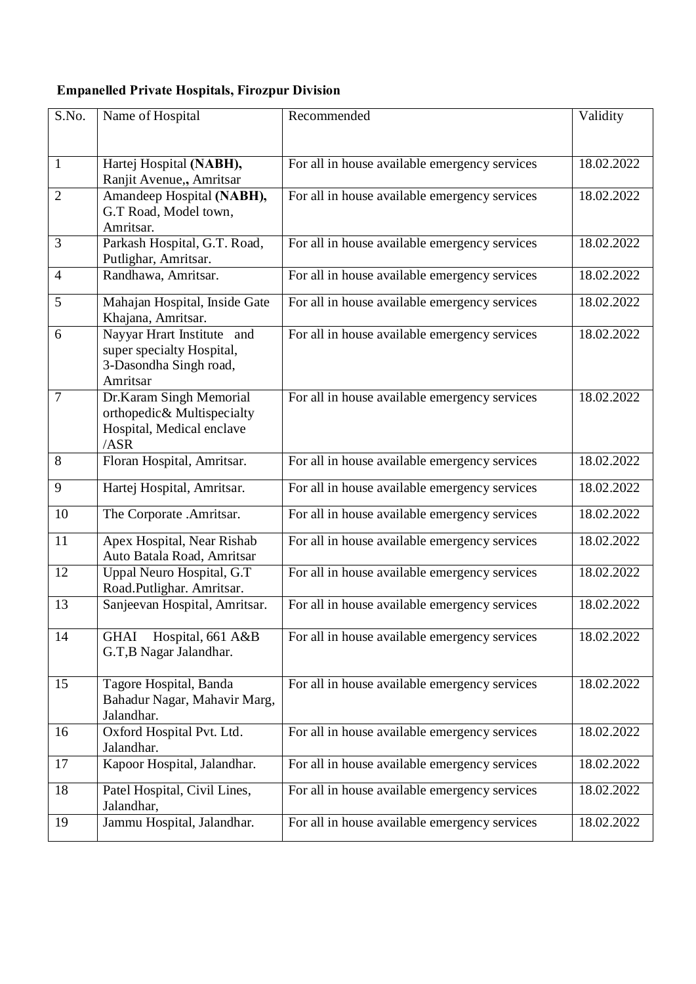# **Empanelled Private Hospitals, Firozpur Division**

| S.No.          | Name of Hospital                                        | Recommended                                   | Validity   |
|----------------|---------------------------------------------------------|-----------------------------------------------|------------|
|                |                                                         |                                               |            |
| $\mathbf{1}$   | Hartej Hospital (NABH),                                 | For all in house available emergency services | 18.02.2022 |
|                | Ranjit Avenue,, Amritsar                                |                                               |            |
| $\overline{2}$ | Amandeep Hospital (NABH),                               | For all in house available emergency services | 18.02.2022 |
|                | G.T Road, Model town,<br>Amritsar.                      |                                               |            |
| 3              | Parkash Hospital, G.T. Road,                            | For all in house available emergency services | 18.02.2022 |
|                | Putlighar, Amritsar.                                    |                                               |            |
| $\overline{4}$ | Randhawa, Amritsar.                                     | For all in house available emergency services | 18.02.2022 |
| 5              | Mahajan Hospital, Inside Gate                           | For all in house available emergency services | 18.02.2022 |
|                | Khajana, Amritsar.                                      |                                               |            |
| 6              | Nayyar Hrart Institute and<br>super specialty Hospital, | For all in house available emergency services | 18.02.2022 |
|                | 3-Dasondha Singh road,                                  |                                               |            |
|                | Amritsar                                                |                                               |            |
| $\tau$         | Dr.Karam Singh Memorial<br>orthopedic& Multispecialty   | For all in house available emergency services | 18.02.2022 |
|                | Hospital, Medical enclave                               |                                               |            |
|                | /ASR                                                    |                                               |            |
| $8\,$          | Floran Hospital, Amritsar.                              | For all in house available emergency services | 18.02.2022 |
| 9              | Hartej Hospital, Amritsar.                              | For all in house available emergency services | 18.02.2022 |
| 10             | The Corporate .Amritsar.                                | For all in house available emergency services | 18.02.2022 |
| 11             | Apex Hospital, Near Rishab                              | For all in house available emergency services | 18.02.2022 |
| 12             | Auto Batala Road, Amritsar<br>Uppal Neuro Hospital, G.T | For all in house available emergency services | 18.02.2022 |
|                | Road.Putlighar. Amritsar.                               |                                               |            |
| 13             | Sanjeevan Hospital, Amritsar.                           | For all in house available emergency services | 18.02.2022 |
| 14             | Hospital, 661 A&B                                       |                                               | 18.02.2022 |
|                | <b>GHAI</b><br>G.T, B Nagar Jalandhar.                  | For all in house available emergency services |            |
|                |                                                         |                                               |            |
| 15             | Tagore Hospital, Banda                                  | For all in house available emergency services | 18.02.2022 |
|                | Bahadur Nagar, Mahavir Marg,<br>Jalandhar.              |                                               |            |
| 16             | Oxford Hospital Pvt. Ltd.                               | For all in house available emergency services | 18.02.2022 |
|                | Jalandhar.                                              |                                               |            |
| 17             | Kapoor Hospital, Jalandhar.                             | For all in house available emergency services | 18.02.2022 |
| 18             | Patel Hospital, Civil Lines,                            | For all in house available emergency services | 18.02.2022 |
| 19             | Jalandhar,<br>Jammu Hospital, Jalandhar.                |                                               |            |
|                |                                                         | For all in house available emergency services | 18.02.2022 |